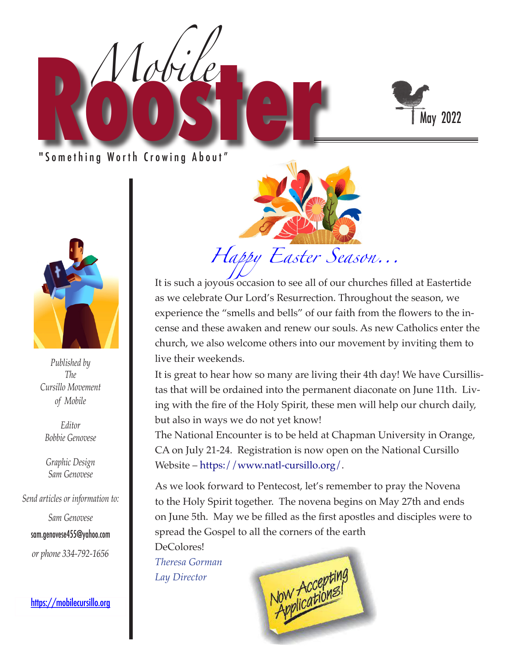

" Something Worth Crowing About"

*Mobile*



*Published by The Cursillo Movement of Mobile*

*Editor Bobbie Genovese*

*Graphic Design Sam Genovese*

*Send articles or information to:* 

*Sam Genovese* sam.genovese455@yahoo.com *or phone 334-792-1656*

https://mobilecursillo.org



It is such a joyous occasion to see all of our churches filled at Eastertide as we celebrate Our Lord's Resurrection. Throughout the season, we experience the "smells and bells" of our faith from the flowers to the incense and these awaken and renew our souls. As new Catholics enter the church, we also welcome others into our movement by inviting them to live their weekends.

It is great to hear how so many are living their 4th day! We have Cursillistas that will be ordained into the permanent diaconate on June 11th. Living with the fire of the Holy Spirit, these men will help our church daily, but also in ways we do not yet know!

The National Encounter is to be held at Chapman University in Orange, CA on July 21-24. Registration is now open on the National Cursillo Website – https://www.natl-cursillo.org/.

As we look forward to Pentecost, let's remember to pray the Novena to the Holy Spirit together. The novena begins on May 27th and ends on June 5th. May we be filled as the first apostles and disciples were to spread the Gospel to all the corners of the earth

DeColores! *Theresa Gorman Lay Director*

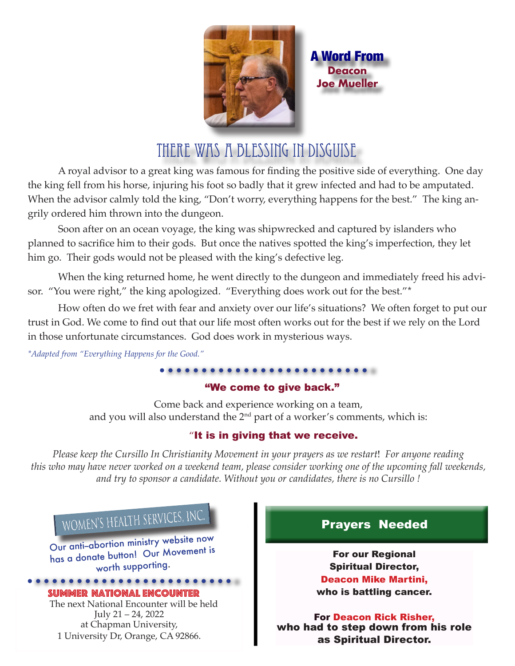

A Word From **Deacon Joe Mueller**

# THERE WAS A BLESSING IN DISGUISE

A royal advisor to a great king was famous for finding the positive side of everything. One day the king fell from his horse, injuring his foot so badly that it grew infected and had to be amputated. When the advisor calmly told the king, "Don't worry, everything happens for the best." The king angrily ordered him thrown into the dungeon.

Soon after on an ocean voyage, the king was shipwrecked and captured by islanders who planned to sacrifice him to their gods. But once the natives spotted the king's imperfection, they let him go. Their gods would not be pleased with the king's defective leg.

When the king returned home, he went directly to the dungeon and immediately freed his advisor. "You were right," the king apologized. "Everything does work out for the best."\*

How often do we fret with fear and anxiety over our life's situations? We often forget to put our trust in God. We come to find out that our life most often works out for the best if we rely on the Lord in those unfortunate circumstances. God does work in mysterious ways.

*\*Adapted from "Everything Happens for the Good."*

## "We come to give back."

Come back and experience working on a team, and you will also understand the 2<sup>nd</sup> part of a worker's comments, which is:

## "It is in giving that we receive.

*Please keep the Cursillo In Christianity Movement in your prayers as we restart*! *For anyone reading this who may have never worked on a weekend team, please consider working one of the upcoming fall weekends, and try to sponsor a candidate. Without you or candidates, there is no Cursillo !* 

# WOMEN'S HEALTH SERVICES, IN

Our anti-abortion ministry website now has a donate button! Our Movement is worth supporting.

Summer National Encounter

 The next National Encounter will be held July 21 – 24, 2022 at Chapman University, 1 University Dr, Orange, CA 92866.

# Prayers Needed

For our Regional Spiritual Director, Deacon Mike Martini, who is battling cancer.

For Deacon Rick Risher, who had to step down from his role as Spiritual Director.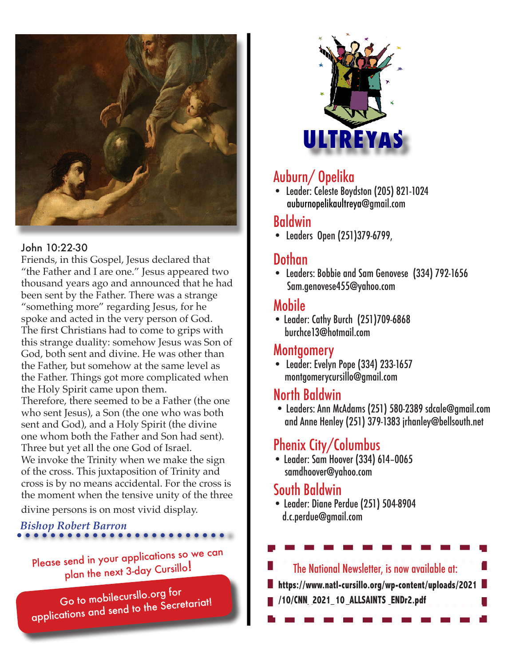

## John 10:22-30

Friends, in this Gospel, Jesus declared that "the Father and I are one." Jesus appeared two thousand years ago and announced that he had been sent by the Father. There was a strange "something more" regarding Jesus, for he spoke and acted in the very person of God. The first Christians had to come to grips with this strange duality: somehow Jesus was Son of God, both sent and divine. He was other than the Father, but somehow at the same level as the Father. Things got more complicated when the Holy Spirit came upon them. Therefore, there seemed to be a Father (the one who sent Jesus), a Son (the one who was both sent and God), and a Holy Spirit (the divine one whom both the Father and Son had sent). Three but yet all the one God of Israel. We invoke the Trinity when we make the sign of the cross. This juxtaposition of Trinity and cross is by no means accidental. For the cross is the moment when the tensive unity of the three

divine persons is on most vivid display.

# *Bishop Robert Barron*

Please send in your applications so we can plan the next 3-day Cursillo!

Go to mobilecursllo.org for applications and send to the Secretariat!



# Auburn/ Opelika

• Leader: Celeste Boydston (205) 821-1024 auburnopelikaultreya@gmail.com

# Baldwin

• Leaders Open (251)379-6799,

#### J Dothan

• Leaders: Bobbie and Sam Genovese (334) 792-1656 Sam.genovese455@yahoo.com

# Mobile

• Leader: Cathy Burch (251)709-6868 burchce13@hotmail.com

# Montgomery

• Leader: Evelyn Pope (334) 233-1657 montgomerycursillo@gmail.com

# North Baldwin

 • Leaders: Ann McAdams (251) 580-2389 sdcale@gmail.com and Anne Henley (251) 379-1383 jrhanley@bellsouth.net

# Phenix City/Columbus

• Leader: Sam Hoover (334) 614–0065 samdhoover@yahoo.com

# South Baldwin

• Leader: Diane Perdue (251) 504-8904 d.c.perdue@gmail.com